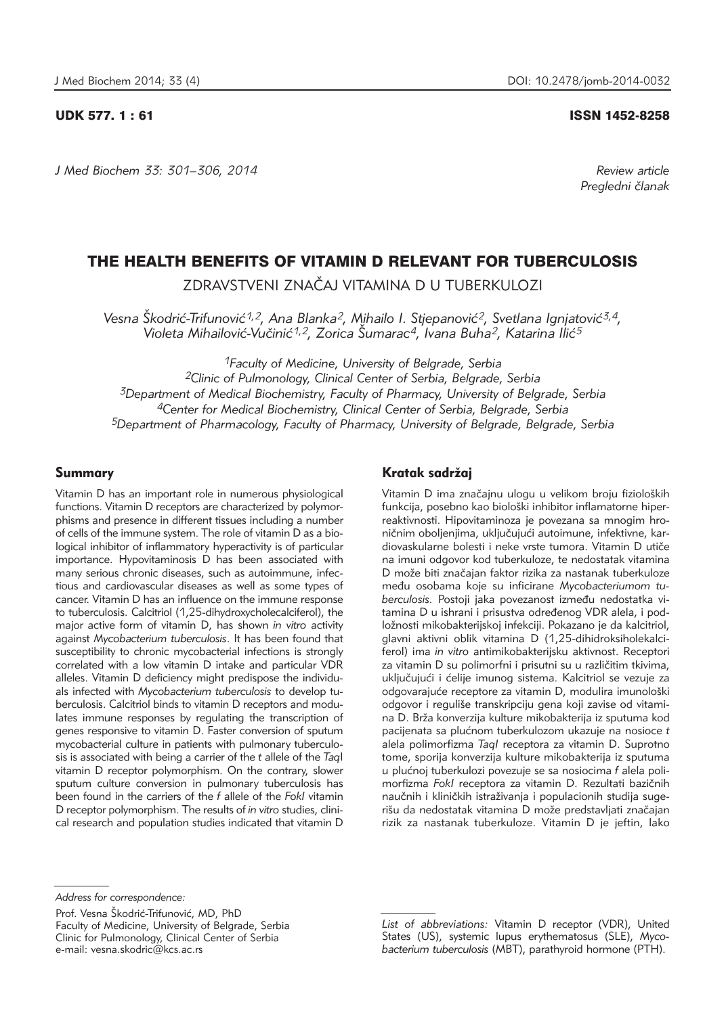*J Med Biochem 33: 301–306, 2014 Review article*

### UDK 577. 1 : 61 ISSN 1452-8258

*Pregledni ~lanak*

# THE HEALTH BENEFITS OF VITAMIN D RELEVANT FOR TUBERCULOSIS

ZDRAVSTVENI ZNA^AJ VITAMINA D U TUBERKULOZI

Vesna Škodrić-Trifunović<sup>1,2</sup>, Ana Blanka<sup>2</sup>, Mihailo I. Stjepanović<sup>2</sup>, Svetlana Ignjatović<sup>3,4</sup>, Violeta Mihailović-Vučinić<sup>1,2</sup>, Zorica Šumarac<sup>4</sup>, Ivana Buha<sup>2</sup>, Katarina Ilić<sup>5</sup>

*1Faculty of Medicine, University of Belgrade, Serbia* 

*2Clinic of Pulmonology, Clinical Center of Serbia, Belgrade, Serbia 3Department of Medical Biochemistry, Faculty of Pharmacy, University of Belgrade, Serbia 4Center for Medical Biochemistry, Clinical Center of Serbia, Belgrade, Serbia 5Department of Pharmacology, Faculty of Pharmacy, University of Belgrade, Belgrade, Serbia*

### Summary

Vitamin D has an important role in numerous physiological functions. Vitamin D receptors are characterized by polymorphisms and presence in different tissues including a number of cells of the immune system. The role of vitamin D as a biological inhibitor of inflammatory hyperactivity is of particular importance. Hypovitaminosis D has been associated with many serious chronic diseases, such as autoimmune, infectious and cardiovascular diseases as well as some types of cancer. Vitamin D has an influence on the immune response to tuberculosis. Calcitriol (1,25-dihydroxycholecalciferol), the major active form of vitamin D, has shown *in vitro* activity against *Mycobacterium tuberculosis*. It has been found that susceptibility to chronic mycobacterial infections is strongly correlated with a low vitamin D intake and particular VDR alleles. Vitamin D deficiency might predispose the individuals infected with *Mycobacterium tuberculosis* to develop tuberculosis. Calcitriol binds to vitamin D receptors and modulates immune responses by regulating the transcription of genes responsive to vitamin D. Faster conversion of sputum mycobacterial culture in patients with pulmonary tuberculosis is associated with being a carrier of the *t* allele of the *Taq*I vitamin D receptor polymorphism. On the contrary, slower sputum culture conversion in pulmonary tuberculosis has been found in the carriers of the *f* allele of the *FokI* vitamin D receptor polymorphism. The results of *in vitro* studies, clini cal research and population studies indicated that vitamin D

# Kratak sadržaj

Vitamin D ima značajnu ulogu u velikom broju fizioloških funkcija, posebno kao biološki inhibitor inflamatorne hiperreaktivnosti. Hipovitaminoza je povezana sa mnogim hroničnim oboljenjima, uključujući autoimune, infektivne, kardiovaskularne bolesti i neke vrste tumora. Vitamin D utiče na imuni odgovor kod tuberkuloze, te nedostatak vitamina D može biti značajan faktor rizika za nastanak tuberkuloze među osobama koje su inficirane *Mycobacteriumom tu*berculosis. Postoji jaka povezanost između nedostatka vitamina D u ishrani i prisustva određenog VDR alela, i podložnosti mikobakterijskoj infekciji. Pokazano je da kalcitriol, glavni aktivni oblik vitamina D (1,25-dihidroksiholekalciferol) ima *in vitro* antimikobakterijsku aktivnost. Receptori za vitamin D su polimorfni i prisutni su u različitim tkivima, uključujući i ćelije imunog sistema. Kalcitriol se vezuje za odgovarajuće receptore za vitamin D, modulira imunološki odgovor i reguliše transkripciju gena koji zavise od vitamina D. Brža konverzija kulture mikobakterija iz sputuma kod pacijenata sa plu}nom tuberkulozom ukazuje na nosioce *t* alela polimorfizma *TaqI* receptora za vitamin D. Suprotno tome, sporija konverzija kulture mikobakterija iz sputuma u plućnoj tuberkulozi povezuje se sa nosiocima *f* alela polimorfizma Fokl receptora za vitamin D. Rezultati bazičnih naučnih i kliničkih istraživanja i populacionih studija sugerišu da nedostatak vitamina D može predstavljati značajan rizik za nastanak tuberkuloze. Vitamin D je jeftin, lako

Prof. Vesna Škodrić-Trifunović, MD, PhD Faculty of Medicine, University of Belgrade, Serbia Clinic for Pulmonology, Clinical Center of Serbia e-mail: vesna.skodric@kcs.ac.rs

*List of abbreviations:* Vitamin D receptor (VDR), United States (US), systemic lupus erythematosus (SLE), Myco*bacterium tuberculosis* (MBT), parathyroid hormone (PTH).

*Address for correspondence:*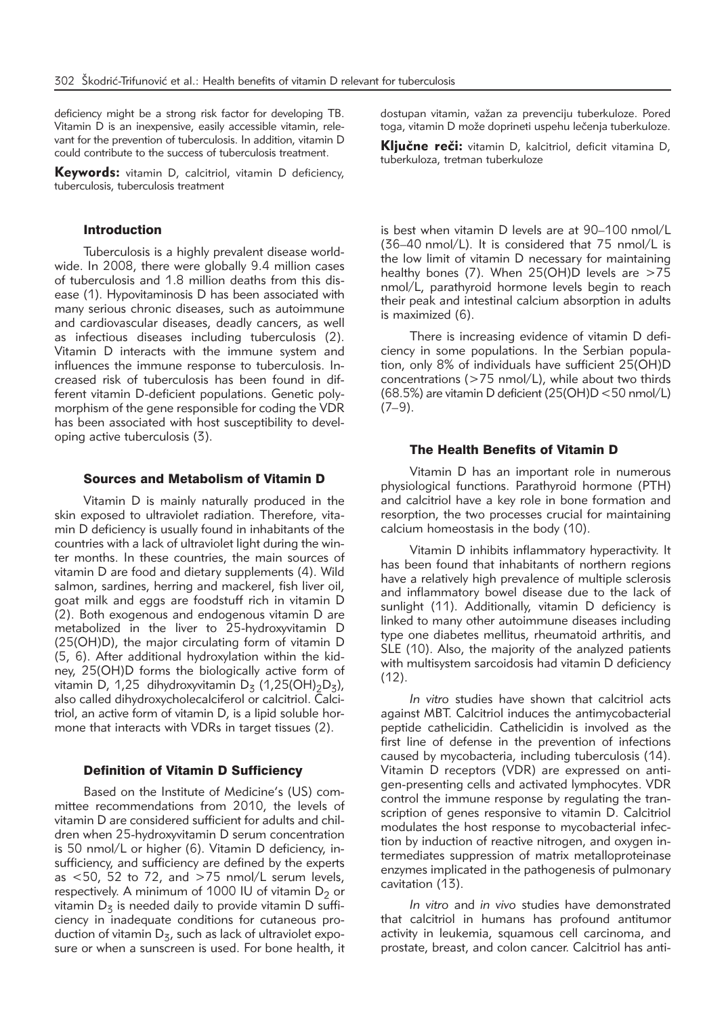deficiency might be a strong risk factor for developing TB. Vitamin D is an inexpensive, easily accessible vitamin, relevant for the prevention of tuberculosis. In addition, vitamin D could contribute to the success of tuberculosis treatment.

Keywords: vitamin D, calcitriol, vitamin D deficiency, tuberculosis, tuberculosis treatment

### Introduction

Tuberculosis is a highly prevalent disease worldwide. In 2008, there were globally 9.4 million cases of tuberculosis and 1.8 million deaths from this disease (1). Hypovitaminosis D has been associated with many serious chronic diseases, such as autoimmune and cardiovascular diseases, deadly cancers, as well as infectious diseases including tuberculosis (2). Vitamin D interacts with the immune system and influences the immune response to tuberculosis. Increased risk of tuberculosis has been found in different vitamin D-deficient populations. Genetic polymorphism of the gene responsible for coding the VDR has been associated with host susceptibility to developing active tuberculosis (3).

### Sources and Metabolism of Vitamin D

Vitamin D is mainly naturally produced in the skin exposed to ultraviolet radiation. Therefore, vitamin D deficiency is usually found in inhabitants of the countries with a lack of ultraviolet light during the winter months. In these countries, the main sources of vitamin D are food and dietary supplements (4). Wild salmon, sardines, herring and mackerel, fish liver oil, goat milk and eggs are foodstuff rich in vitamin D (2). Both exogenous and endogenous vitamin D are metabolized in the liver to 25-hydroxyvitamin D (25(OH)D), the major circulating form of vitamin D (5, 6). After additional hydroxylation within the kidney, 25(OH)D forms the biologically active form of vitamin D, 1,25 dihydroxyvitamin D<sub>z</sub> (1,25(OH)<sub>2</sub>D<sub>z</sub>), also called dihydroxycholecalciferol or calcitriol. Calcitriol, an active form of vitamin D, is a lipid soluble hormone that interacts with VDRs in target tissues (2).

### Definition of Vitamin D Sufficiency

Based on the Institute of Medicine's (US) committee recommendations from 2010, the levels of vitamin D are considered sufficient for adults and children when 25-hydroxyvitamin D serum concentration is 50 nmol/L or higher (6). Vitamin D deficiency, insufficiency, and sufficiency are defined by the experts as  $<$  50, 52 to 72, and  $>$  75 nmol/L serum levels, respectively. A minimum of 1000 IU of vitamin  $D_2$  or vitamin  $D<sub>z</sub>$  is needed daily to provide vitamin D sufficiency in inadequate conditions for cutaneous production of vitamin  $D<sub>z</sub>$ , such as lack of ultraviolet exposure or when a sunscreen is used. For bone health, it

dostupan vitamin, važan za prevenciju tuberkuloze. Pored toga, vitamin D može doprineti uspehu lečenja tuberkuloze.

Ključne reči: vitamin D, kalcitriol, deficit vitamina D, tuberkuloza, tretman tuberkuloze

is best when vitamin D levels are at 90–100 nmol/L (36–40 nmol/L). It is considered that 75 nmol/L is the low limit of vitamin D necessary for maintaining healthy bones (7). When  $25(OH)D$  levels are  $>75$ nmol/L, parathyroid hormone levels begin to reach their peak and intestinal calcium absorption in adults is maximized (6).

There is increasing evidence of vitamin D deficiency in some populations. In the Serbian population, only 8% of individuals have sufficient 25(OH)D concentrations (>75 nmol/L), while about two thirds (68.5%) are vitamin D deficient (25(OH)D <50 nmol/L)  $(7-9)$ .

#### The Health Benefits of Vitamin D

Vitamin D has an important role in numerous physiological functions. Parathyroid hormone (PTH) and calcitriol have a key role in bone formation and resorption, the two processes crucial for maintaining calcium homeostasis in the body (10).

Vitamin D inhibits inflammatory hyperactivity. It has been found that inhabitants of northern regions have a relatively high prevalence of multiple sclerosis and inflammatory bowel disease due to the lack of sunlight (11). Additionally, vitamin D deficiency is linked to many other autoimmune diseases including type one diabetes mellitus, rheumatoid arthritis, and SLE (10). Also, the majority of the analyzed patients with multisystem sarcoidosis had vitamin D deficiency  $(12)$ .

*In vitro* studies have shown that calcitriol acts against MBT. Calcitriol induces the antimycobacterial peptide cathelicidin. Cathelicidin is involved as the first line of defense in the prevention of infections caused by mycobacteria, including tuberculosis (14). Vitamin D receptors (VDR) are expressed on antigen-presenting cells and activated lymphocytes. VDR control the immune response by regulating the transcription of genes responsive to vitamin D. Calcitriol modulates the host response to mycobacterial infection by induction of reactive nitrogen, and oxygen intermediates suppression of matrix metalloproteinase enzymes implicated in the pathogenesis of pulmonary cavitation (13).

*In vitro* and *in vivo* studies have demonstrated that calcitriol in humans has profound antitumor activity in leukemia, squamous cell carcinoma, and prostate, breast, and colon cancer. Calcitriol has anti-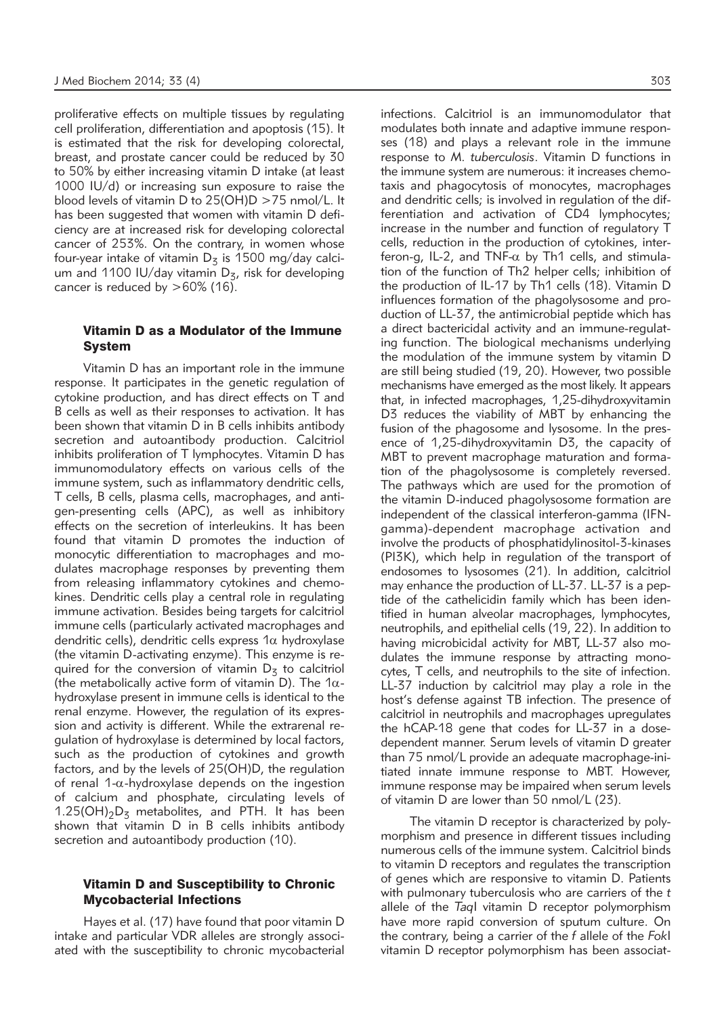proliferative effects on multiple tissues by regulating cell proliferation, differentiation and apoptosis (15). It is estimated that the risk for developing colorectal, breast, and prostate cancer could be reduced by 30 to 50% by either increasing vitamin D intake (at least 1000 IU/d) or increasing sun exposure to raise the blood levels of vitamin D to 25(OH)D >75 nmol/L. It has been suggested that women with vitamin D deficiency are at increased risk for developing colorectal cancer of 253%. On the contrary, in women whose four-year intake of vitamin  $D_5$  is 1500 mg/day calcium and 1100 IU/day vitamin  $D<sub>z</sub>$ , risk for developing cancer is reduced by  $>60\%$  (16).

# Vitamin D as a Modulator of the Immune System

Vitamin D has an important role in the immune response. It participates in the genetic regulation of cytokine production, and has direct effects on T and B cells as well as their responses to activation. It has been shown that vitamin D in B cells inhibits antibody secretion and autoantibody production. Calcitriol inhibits proliferation of T lymphocytes. Vitamin D has immunomodulatory effects on various cells of the immune system, such as inflammatory dendritic cells, T cells, B cells, plasma cells, macrophages, and antigen-presenting cells (APC), as well as inhibitory effects on the secretion of interleukins. It has been found that vitamin D promotes the induction of monocytic differentiation to macrophages and modulates macrophage responses by preventing them from releasing inflammatory cytokines and chemokines. Dendritic cells play a central role in regulating immune activation. Besides being targets for calcitriol immune cells (particularly activated macrophages and dendritic cells), dendritic cells express  $1\alpha$  hydroxylase (the vitamin D-activating enzyme). This enzyme is re quired for the conversion of vitamin  $D<sub>z</sub>$  to calcitriol (the metabolically active form of vitamin D). The  $1\alpha$ hydroxylase present in immune cells is identical to the renal enzyme. However, the regulation of its expression and activity is different. While the extrarenal regulation of hydroxylase is determined by local factors, such as the production of cytokines and growth factors, and by the levels of 25(OH)D, the regulation of renal 1- $\alpha$ -hydroxylase depends on the ingestion of calcium and phosphate, circulating levels of 1.25(OH) $_2D_5$  metabolites, and PTH. It has been shown that vitamin D in B cells inhibits antibody secretion and autoantibody production (10).

### Vitamin D and Susceptibility to Chronic Mycobacterial Infections

Hayes et al. (17) have found that poor vitamin D intake and particular VDR alleles are strongly associated with the susceptibility to chronic mycobacterial

infections. Calcitriol is an immunomodulator that modulates both innate and adaptive immune responses (18) and plays a relevant role in the immune response to *M. tuberculosis*. Vitamin D functions in the immune system are numerous: it increases chemotaxis and phagocytosis of monocytes, macrophages and dendritic cells; is involved in regulation of the differentiation and activation of CD4 lymphocytes; increase in the number and function of regulatory T cells, reduction in the production of cytokines, interferon-g, IL-2, and TNF- $\alpha$  by Th1 cells, and stimulation of the function of Th2 helper cells; inhibition of the production of IL-17 by Th1 cells (18). Vitamin D influences formation of the phagolysosome and production of LL-37, the antimicrobial peptide which has a direct bactericidal activity and an immune-regulating function. The biological mechanisms underlying the modulation of the immune system by vitamin D are still being studied (19, 20). However, two possible mechanisms have emerged as the most likely. It appears that, in infected macrophages, 1,25-dihydroxyvitamin D3 reduces the viability of MBT by enhancing the fusion of the phagosome and lysosome. In the presence of 1,25-dihydroxyvitamin D3, the capacity of MBT to prevent macrophage maturation and formation of the phagolysosome is completely reversed. The pathways which are used for the promotion of the vitamin D-induced phagolysosome formation are independent of the classical interferon-gamma (IFNgamma)-dependent macrophage activation and involve the products of phosphatidylinositol-3-kinases (PI3K), which help in regulation of the transport of endosomes to lysosomes (21). In addition, calcitriol may enhance the production of LL-37. LL-37 is a peptide of the cathelicidin family which has been identified in human alveolar macrophages, lymphocytes, neutrophils, and epithelial cells (19, 22). In addition to having microbicidal activity for MBT, LL-37 also modulates the immune response by attracting monocytes, T cells, and neutrophils to the site of infection. LL-37 induction by calcitriol may play a role in the host's defense against TB infection. The presence of calcitriol in neutrophils and macrophages upregulates the hCAP-18 gene that codes for LL-37 in a dosedependent manner. Serum levels of vitamin D greater than 75 nmol/L provide an adequate macrophage-initiated innate immune response to MBT. However, immune response may be impaired when serum levels of vitamin D are lower than 50 nmol/L (23).

The vitamin D receptor is characterized by polymorphism and presence in different tissues including numerous cells of the immune system. Calcitriol binds to vitamin D receptors and regulates the transcription of genes which are responsive to vitamin D. Patients with pulmonary tuberculosis who are carriers of the *t* allele of the *Taq*I vitamin D receptor polymorphism have more rapid conversion of sputum culture. On the contrary, being a carrier of the *f* allele of the *Fok*I vitamin D receptor polymorphism has been associat-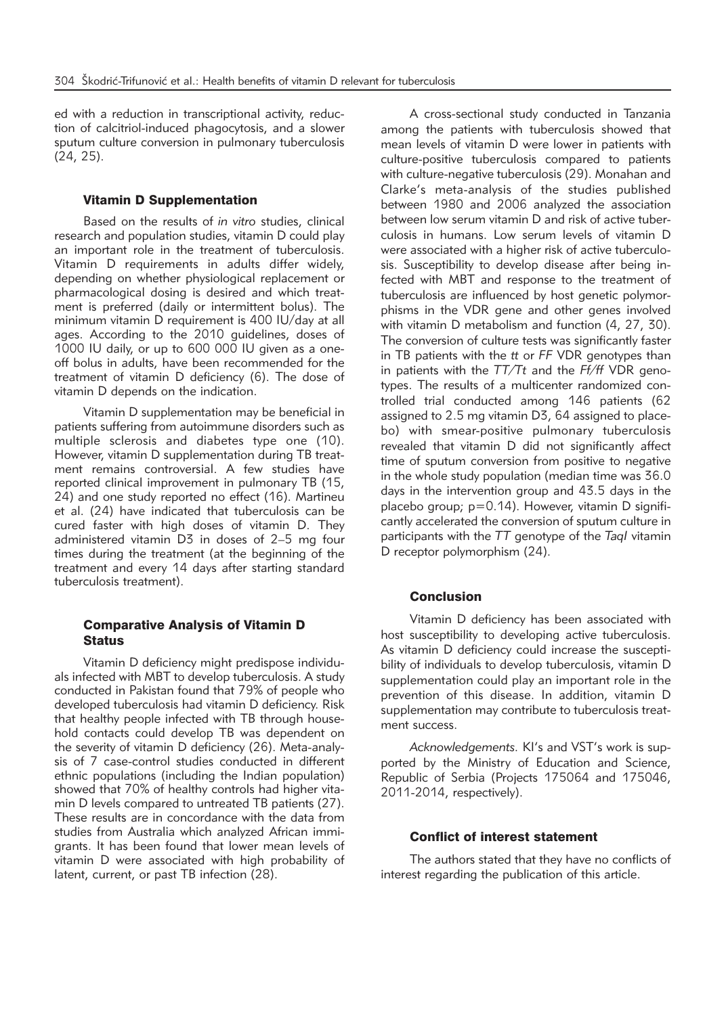ed with a reduction in transcriptional activity, reduction of calcitriol-induced phagocytosis, and a slower sputum culture conversion in pulmonary tuberculosis (24, 25).

### Vitamin D Supplementation

Based on the results of *in vitro* studies, clinical research and population studies, vitamin D could play an important role in the treatment of tuberculosis. Vitamin D requirements in adults differ widely, depending on whether physiological replacement or pharmacological dosing is desired and which treatment is preferred (daily or intermittent bolus). The minimum vitamin D requirement is 400 IU/day at all ages. According to the 2010 guidelines, doses of 1000 IU daily, or up to 600 000 IU given as a oneoff bolus in adults, have been recommended for the treatment of vitamin D deficiency (6). The dose of vitamin D depends on the indication.

Vitamin D supplementation may be beneficial in patients suffering from autoimmune disorders such as multiple sclerosis and diabetes type one (10). However, vitamin D supplementation during TB treatment remains controversial. A few studies have reported clinical improvement in pulmonary TB (15, 24) and one study reported no effect (16). Martineu et al. (24) have indicated that tuberculosis can be cured faster with high doses of vitamin D. They administered vitamin D3 in doses of 2–5 mg four times during the treatment (at the beginning of the treatment and every 14 days after starting standard tuberculosis treatment).

## Comparative Analysis of Vitamin D **Status**

Vitamin D deficiency might predispose individuals infected with MBT to develop tuberculosis. A study conducted in Pakistan found that 79% of people who developed tuberculosis had vitamin D deficiency. Risk that healthy people infected with TB through household contacts could develop TB was dependent on the severity of vitamin D deficiency (26). Meta-analysis of 7 case-control studies conducted in different ethnic populations (including the Indian population) showed that 70% of healthy controls had higher vitamin D levels compared to untreated TB patients (27). These results are in concordance with the data from studies from Australia which analyzed African immigrants. It has been found that lower mean levels of vitamin D were associated with high probability of latent, current, or past TB infection (28).

A cross-sectional study conducted in Tanzania among the patients with tuberculosis showed that mean levels of vitamin D were lower in patients with culture-positive tuberculosis compared to patients with culture-negative tuberculosis (29). Monahan and Clarke's meta-analysis of the studies published between 1980 and 2006 analyzed the association between low serum vitamin D and risk of active tuberculosis in humans. Low serum levels of vitamin D were associated with a higher risk of active tuberculosis. Susceptibility to develop disease after being infected with MBT and response to the treatment of tuberculosis are influenced by host genetic polymorphisms in the VDR gene and other genes involved with vitamin D metabolism and function (4, 27, 30). The conversion of culture tests was significantly faster in TB patients with the *tt* or *FF* VDR genotypes than in patients with the *TT/Tt* and the *Ff/ff* VDR genotypes. The results of a multicenter randomized controlled trial conducted among 146 patients (62 assigned to 2.5 mg vitamin D3, 64 assigned to placebo) with smear-positive pulmonary tuberculosis revealed that vitamin D did not significantly affect time of sputum conversion from positive to negative in the whole study population (median time was 36.0 days in the intervention group and 43.5 days in the placebo group;  $p=0.14$ ). However, vitamin D significantly accelerated the conversion of sputum culture in participants with the *TT* genotype of the *TaqI* vitamin D receptor polymorphism (24).

### Conclusion

Vitamin D deficiency has been associated with host susceptibility to developing active tuberculosis. As vitamin D deficiency could increase the susceptibility of individuals to develop tuberculosis, vitamin D supplementation could play an important role in the prevention of this disease. In addition, vitamin D supplementation may contribute to tuberculosis treatment success.

*Acknowledgements.* KI's and VST's work is supported by the Ministry of Education and Science, Republic of Serbia (Projects 175064 and 175046, 2011-2014, respectively).

### Conflict of interest statement

The authors stated that they have no conflicts of interest regarding the publication of this article.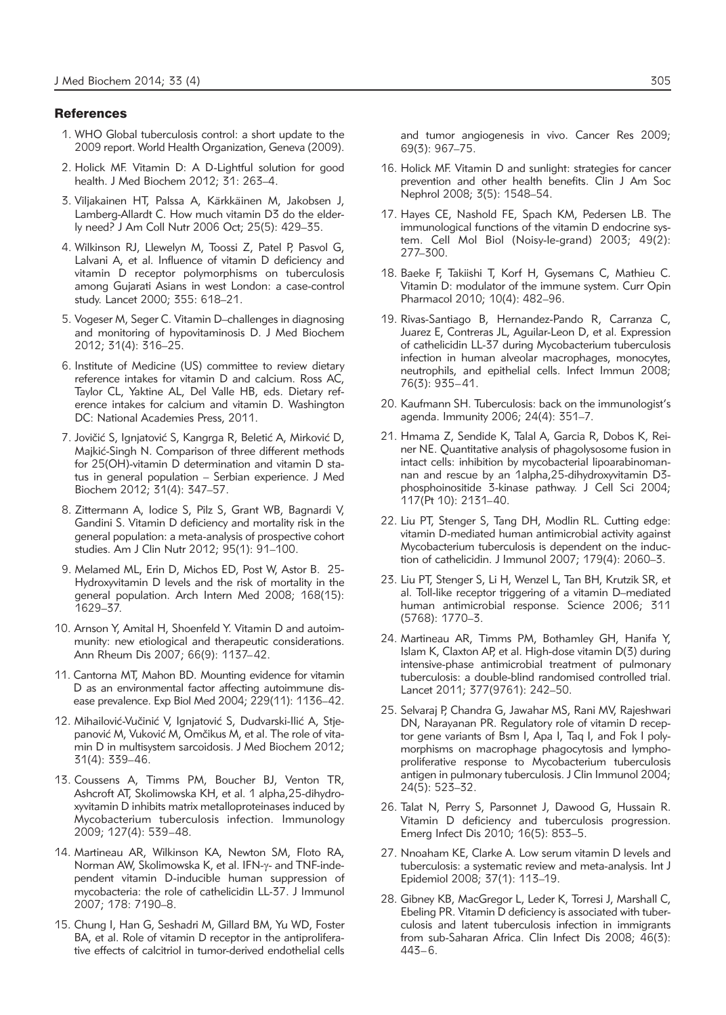#### **References**

- 1. WHO Global tuberculosis control: a short update to the 2009 report. World Health Organization, Geneva (2009).
- 2. Holick MF. Vitamin D: A D-Lightful solution for good health. J Med Biochem 2012; 31: 263–4.
- 3. Viljakainen HT, Palssa A, Kärkkäinen M, Jakobsen J, Lamberg-Allardt C. How much vitamin D3 do the elderly need? J Am Coll Nutr 2006 Oct; 25(5): 429–35.
- 4. Wilkinson RJ, Llewelyn M, Toossi Z, Patel P, Pasvol G, Lalvani A, et al. Influence of vitamin D deficiency and vitamin D receptor polymorphisms on tuberculosis among Gujarati Asians in west London: a case-control study. Lancet 2000; 355: 618–21.
- 5. Vogeser M, Seger C. Vitamin D–challenges in diagnosing and monitoring of hypovitaminosis D. J Med Biochem 2012; 31(4): 316–25.
- 6. Institute of Medicine (US) committee to review dietary reference intakes for vitamin D and calcium. Ross AC, Taylor CL, Yaktine AL, Del Valle HB, eds. Dietary reference intakes for calcium and vitamin D. Washington DC: National Academies Press, 2011.
- 7. Jovičić S, Ignjatović S, Kangrga R, Beletić A, Mirković D, Majkić-Singh N. Comparison of three different methods for 25(OH)-vitamin D determination and vitamin D status in general population – Serbian experience. J Med Biochem 2012; 31(4): 347–57.
- 8. Zittermann A, Iodice S, Pilz S, Grant WB, Bagnardi V, Gandini S. Vitamin D deficiency and mortality risk in the general population: a meta-analysis of prospective cohort studies. Am J Clin Nutr 2012; 95(1): 91–100.
- 9. Melamed ML, Erin D, Michos ED, Post W, Astor B. 25- Hydroxyvitamin D levels and the risk of mortality in the general population. Arch Intern Med 2008; 168(15): 1629–37.
- 10. Arnson Y, Amital H, Shoenfeld Y. Vitamin D and autoimmunity: new etiological and therapeutic considerations. Ann Rheum Dis 2007; 66(9): 1137–42.
- 11. Cantorna MT, Mahon BD. Mounting evidence for vitamin D as an environmental factor affecting autoimmune disease prevalence. Exp Biol Med 2004; 229(11): 1136–42.
- 12. Mihailović-Vučinić V, Ignjatović S, Dudvarski-Ilić A, Stjepanović M, Vuković M, Omčikus M, et al. The role of vitamin D in multisystem sarcoidosis. J Med Biochem 2012; 31(4): 339–46.
- 13. Coussens A, Timms PM, Boucher BJ, Venton TR, Ashcroft AT, Skolimowska KH, et al. 1 alpha, 25-dihydroxyvitamin D inhibits matrix metalloproteinases induced by Mycobacterium tuberculosis infection. Immunology 2009; 127(4): 539–48.
- 14. Martineau AR, Wilkinson KA, Newton SM, Floto RA, Norman AW, Skolimowska K, et al. IFN-y- and TNF-independent vitamin D-inducible human suppression of mycobacteria: the role of cathelicidin LL-37. J Immunol 2007; 178: 7190–8.
- 15. Chung I, Han G, Seshadri M, Gillard BM, Yu WD, Foster BA, et al. Role of vitamin D receptor in the antiproliferative effects of calcitriol in tumor-derived endothelial cells

and tumor angiogenesis in vivo. Cancer Res 2009; 69(3): 967–75.

- 16. Holick MF. Vitamin D and sunlight: strategies for cancer prevention and other health benefits. Clin J Am Soc Nephrol 2008; 3(5): 1548–54.
- 17. Hayes CE, Nashold FE, Spach KM, Pedersen LB. The immunological functions of the vitamin D endocrine system. Cell Mol Biol (Noisy-le-grand) 2003; 49(2): 277–300.
- 18. Baeke F, Takiishi T, Korf H, Gysemans C, Mathieu C. Vitamin D: modulator of the immune system. Curr Opin Pharmacol 2010; 10(4): 482–96.
- 19. Rivas-Santiago B, Hernandez-Pando R, Carranza C, Juarez E, Contreras JL, Aguilar-Leon D, et al. Expression of cathelicidin LL-37 during Mycobacterium tuberculosis infection in human alveolar macrophages, monocytes, neutrophils, and epithelial cells. Infect Immun 2008; 76(3): 935–41.
- 20. Kaufmann SH. Tuberculosis: back on the immunologist's agenda. Immunity 2006; 24(4): 351–7.
- 21. Hmama Z, Sendide K, Talal A, Garcia R, Dobos K, Reiner NE. Quantitative analysis of phagolysosome fusion in intact cells: inhibition by mycobacterial lipoarabinomannan and rescue by an 1alpha,25-dihydroxyvitamin D3 phosphoinositide 3-kinase pathway. J Cell Sci 2004; 117(Pt 10): 2131–40.
- 22. Liu PT, Stenger S, Tang DH, Modlin RL. Cutting edge: vitamin D-mediated human antimicrobial activity against Mycobacterium tuberculosis is dependent on the induction of cathelicidin. J Immunol 2007; 179(4): 2060–3.
- 23. Liu PT, Stenger S, Li H, Wenzel L, Tan BH, Krutzik SR, et al. Toll-like receptor triggering of a vitamin D–mediated human antimicrobial response. Science 2006; 311 (5768): 1770–3.
- 24. Martineau AR, Timms PM, Bothamley GH, Hanifa Y, Islam K, Claxton AP, et al. High-dose vitamin D(3) during intensive-phase antimicrobial treatment of pulmonary tuberculosis: a double-blind randomised controlled trial. Lancet 2011; 377(9761): 242–50.
- 25. Selvaraj P, Chandra G, Jawahar MS, Rani MV, Rajeshwari DN, Narayanan PR. Regulatory role of vitamin D receptor gene variants of Bsm I, Apa I, Taq I, and Fok I polymorphisms on macrophage phagocytosis and lymphoproliferative response to Mycobacterium tuberculosis antigen in pulmonary tuberculosis. J Clin Immunol 2004; 24(5): 523–32.
- 26. Talat N, Perry S, Parsonnet J, Dawood G, Hussain R. Vitamin D deficiency and tuberculosis progression. Emerg Infect Dis 2010; 16(5): 853–5.
- 27. Nnoaham KE, Clarke A. Low serum vitamin D levels and tuberculosis: a systematic review and meta-analysis. Int J Epidemiol 2008; 37(1): 113–19.
- 28. Gibney KB, MacGregor L, Leder K, Torresi J, Marshall C, Ebeling PR. Vitamin D deficiency is associated with tuberculosis and latent tuberculosis infection in immigrants from sub-Saharan Africa. Clin Infect Dis 2008; 46(3): 443–6.